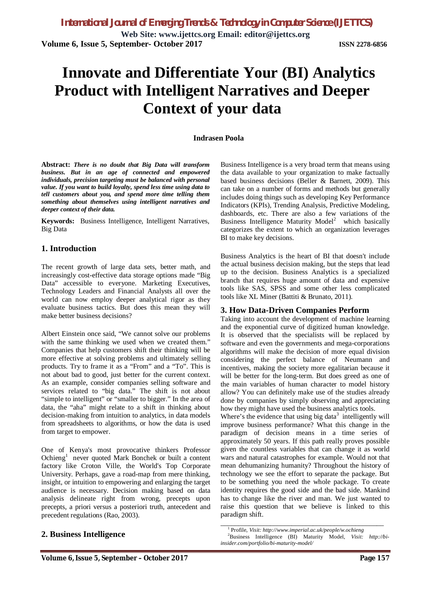**Web Site: www.ijettcs.org Email: editor@ijettcs.org Volume 6, Issue 5, September- October 2017 ISSN 2278-6856**

# **Innovate and Differentiate Your (BI) Analytics Product with Intelligent Narratives and Deeper Context of your data**

#### **Indrasen Poola**

**Abstract:** *There is no doubt that Big Data will transform business. But in an age of connected and empowered individuals, precision targeting must be balanced with personal value. If you want to build loyalty, spend less time using data to tell customers about you, and spend more time telling them something about themselves using intelligent narratives and deeper context of their data.*

**Keywords:** Business Intelligence, Intelligent Narratives, Big Data

## **1. Introduction**

The recent growth of large data sets, better math, and increasingly cost-effective data storage options made "Big Data" accessible to everyone. Marketing Executives, Technology Leaders and Financial Analysts all over the world can now employ deeper analytical rigor as they evaluate business tactics. But does this mean they will make better business decisions?

Albert Einstein once said, "We cannot solve our problems with the same thinking we used when we created them." Companies that help customers shift their thinking will be more effective at solving problems and ultimately selling products. Try to frame it as a "From" and a "To". This is not about bad to good, just better for the current context. As an example, consider companies selling software and services related to "big data." The shift is not about "simple to intelligent" or "smaller to bigger." In the area of data, the "aha" might relate to a shift in thinking about decision-making from intuition to analytics, in data models from spreadsheets to algorithms, or how the data is used from target to empower.

One of Kenya's most provocative thinkers Professor Ochieng<sup>1</sup> never quoted Mark Bonchek or built a content factory like Croton Ville, the World's Top Corporate University. Perhaps, gave a road-map from mere thinking, insight, or intuition to empowering and enlarging the target audience is necessary. Decision making based on data analysis delineate right from wrong, precepts upon precepts, a priori versus a posteriori truth, antecedent and precedent regulations (Rao, 2003).

# **2. Business Intelligence**

Business Intelligence is a very broad term that means using the data available to your organization to make factually based business decisions (Beller & Barnett, 2009). This can take on a number of forms and methods but generally includes doing things such as developing Key Performance Indicators (KPIs), Trending Analysis, Predictive Modeling, dashboards, etc. There are also a few variations of the Business Intelligence Maturity Model<sup>2</sup> which basically categorizes the extent to which an organization leverages BI to make key decisions.

Business Analytics is the heart of BI that doesn't include the actual business decision making, but the steps that lead up to the decision. Business Analytics is a specialized branch that requires huge amount of data and expensive tools like SAS, SPSS and some other less complicated tools like XL Miner (Battiti & Brunato, 2011).

#### **3. How Data-Driven Companies Perform**

Taking into account the development of machine learning and the exponential curve of digitized human knowledge. It is observed that the specialists will be replaced by software and even the governments and mega-corporations algorithms will make the decision of more equal division considering the perfect balance of Neumann and incentives, making the society more egalitarian because it will be better for the long-term. But does greed as one of the main variables of human character to model history allow? You can definitely make use of the studies already done by companies by simply observing and appreciating how they might have used the business analytics tools.

Where's the evidence that using big data<sup>3</sup> intelligently will improve business performance? What this change in the paradigm of decision means in a time series of approximately 50 years. If this path really proves possible given the countless variables that can change it as world wars and natural catastrophes for example. Would not that mean dehumanizing humanity? Throughout the history of technology we see the effort to separate the package. But to be something you need the whole package. To create identity requires the good side and the bad side. Mankind has to change like the river and man. We just wanted to raise this question that we believe is linked to this paradigm shift.

\_\_\_\_\_\_\_\_\_\_\_\_\_\_\_\_\_\_\_\_\_\_\_\_\_\_\_\_\_\_\_\_\_\_\_\_\_\_\_\_\_\_\_\_\_\_

<sup>1</sup> Profile, *Visit: http://www.imperial.ac.uk/people/w.ochieng*

<sup>2</sup>Business Intelligence (BI) Maturity Model, *Visit: http://biinsider.com/portfolio/bi-maturity-model/*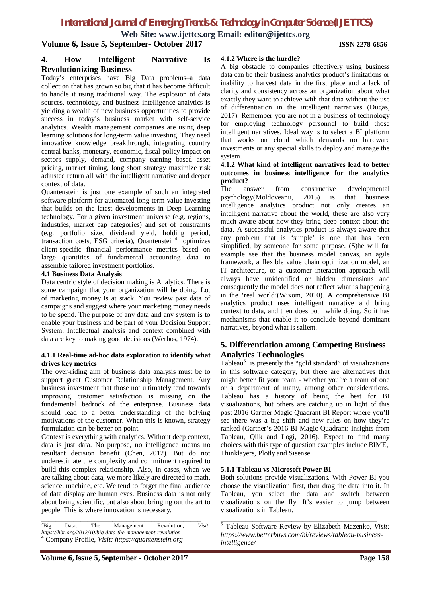**Web Site: www.ijettcs.org Email: editor@ijettcs.org**

**Volume 6, Issue 5, September- October 2017 ISSN 2278-6856**

## **4. How Intelligent Narrative Is Revolutionizing Business**

Today's enterprises have Big Data problems–a data collection that has grown so big that it has become difficult to handle it using traditional way. The explosion of data sources, technology, and business intelligence analytics is yielding a wealth of new business opportunities to provide success in today's business market with self-service analytics. Wealth management companies are using deep learning solutions for long-term value investing. They need innovative knowledge breakthrough, integrating country central banks, monetary, economic, fiscal policy impact on sectors supply, demand, company earning based asset pricing, market timing, long short strategy maximize risk adjusted return all with the intelligent narrative and deeper context of data.

Quantenstein is just one example of such an integrated software platform for automated long-term value investing that builds on the latest developments in Deep Learning technology. For a given investment universe (e.g. regions, industries, market cap categories) and set of constraints (e.g. portfolio size, dividend yield, holding period, transaction costs, ESG criteria), Quantenstein<sup>4</sup> optimizes client-specific financial performance metrics based on large quantities of fundamental accounting data to assemble tailored investment portfolios.

#### **4.1 Business Data Analysis**

Data centric style of decision making is Analytics. There is some campaign that your organization will be doing. Lot of marketing money is at stack. You review past data of campaigns and suggest where your marketing money needs to be spend. The purpose of any data and any system is to enable your business and be part of your Decision Support System. Intellectual analysis and context combined with data are key to making good decisions (Werbos, 1974).

#### **4.1.1 Real-time ad-hoc data exploration to identify what drives key metrics**

The over-riding aim of business data analysis must be to support great Customer Relationship Management. Any business investment that those not ultimately tend towards improving customer satisfaction is missing on the fundamental bedrock of the enterprise. Business data should lead to a better understanding of the belying motivations of the customer. When this is known, strategy formulation can be better on point.

Context is everything with analytics. Without deep context, data is just data. No purpose, no intelligence means no resultant decision benefit (Chen, 2012). But do not underestimate the complexity and commitment required to build this complex relationship. Also, in cases, when we are talking about data, we more likely are directed to math, science, machine, etc. We tend to forget the final audience of data display are human eyes. Business data is not only about being scientific, but also about bringing out the art to people. This is where innovation is necessary.

\_\_\_\_\_\_\_\_\_\_\_\_\_\_\_\_\_\_\_\_\_\_\_\_\_\_\_\_\_\_\_\_\_\_\_\_\_\_\_\_\_\_\_\_\_

#### **4.1.2 Where is the hurdle?**

A big obstacle to companies effectively using business data can be their business analytics product's limitations or inability to harvest data in the first place and a lack of clarity and consistency across an organization about what exactly they want to achieve with that data without the use of differentiation in the intelligent narratives (Dugas, 2017). Remember you are not in a business of technology for employing technology personnel to build those intelligent narratives. Ideal way is to select a BI platform that works on cloud which demands no hardware investments or any special skills to deploy and manage the system.

#### **4.1.2 What kind of intelligent narratives lead to better outcomes in business intelligence for the analytics product?**

The answer from constructive developmental psychology(Moldoveanu, 2015) is that business intelligence analytics product not only creates an intelligent narrative about the world, these are also very much aware about how they bring deep context about the data. A successful analytics product is always aware that any problem that is 'simple' is one that has been simplified, by someone for some purpose. (S)he will for example see that the business model canvas, an agile framework, a flexible value chain optimization model, an IT architecture, or a customer interaction approach will always have unidentified or hidden dimensions and consequently the model does not reflect what is happening in the 'real world'(Wixom, 2010). A comprehensive BI analytics product uses intelligent narrative and bring context to data, and then does both while doing. So it has mechanisms that enable it to conclude beyond dominant narratives, beyond what is salient.

# **5. Differentiation among Competing Business Analytics Technologies**

Tableau<sup>5</sup> is presently the "gold standard" of visualizations in this software category, but there are alternatives that might better fit your team - whether you're a team of one or a department of many, among other considerations. Tableau has a history of being the best for BI visualizations, but others are catching up in light of this past 2016 Gartner Magic Quadrant BI Report where you'll see there was a big shift and new rules on how they're ranked (Gartner's 2016 BI Magic Quadrant: Insights from Tableau, Qlik and Logi, 2016). Expect to find many choices with this type of question examples include BIME, Thinklayers, Plotly and Sisense.

#### **5.1.1 Tableau vs Microsoft Power BI**

Both solutions provide visualizations. With Power BI you choose the visualization first, then drag the data into it. In Tableau, you select the data and switch between visualizations on the fly. It's easier to jump between visualizations in Tableau.

\_\_\_\_\_\_\_\_\_\_\_\_\_\_\_\_\_\_\_\_\_\_\_\_\_\_\_\_\_\_\_\_\_\_\_\_\_\_\_\_\_\_\_\_

<sup>3</sup>Big Data: The Management Revolution, *Visit: https://hbr.org/2012/10/big-data-the-management-revolution* <sup>4</sup> Company Profile, *Visit: https://quantenstein.org*

<sup>5</sup> Tableau Software Review by Elizabeth Mazenko, *Visit: https://www.betterbuys.com/bi/reviews/tableau-businessintelligence/*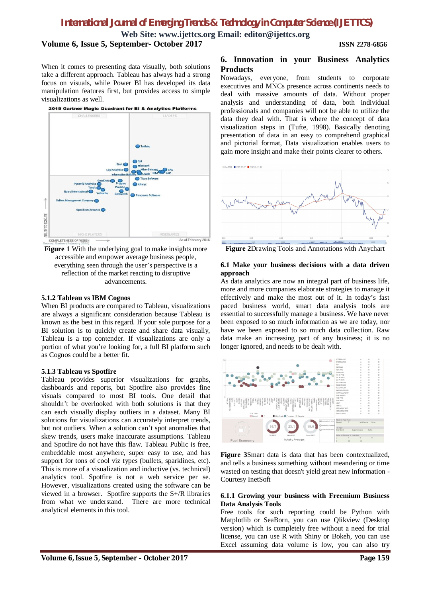**Web Site: www.ijettcs.org Email: editor@ijettcs.org**

**Volume 6, Issue 5, September- October 2017 ISSN 2278-6856**

When it comes to presenting data visually, both solutions take a different approach. Tableau has always had a strong focus on visuals, while Power BI has developed its data manipulation features first, but provides access to simple visualizations as well.



**Figure 1** With the underlying goal to make insights more accessible and empower average business people, everything seen through the user's perspective is a reflection of the market reacting to disruptive advancements.

#### **5.1.2 Tableau vs IBM Cognos**

When BI products are compared to Tableau, visualizations are always a significant consideration because Tableau is known as the best in this regard. If your sole purpose for a BI solution is to quickly create and share data visually, Tableau is a top contender. If visualizations are only a portion of what you're looking for, a full BI platform such as Cognos could be a better fit.

#### **5.1.3 Tableau vs Spotfire**

Tableau provides superior visualizations for graphs, dashboards and reports, but Spotfire also provides fine visuals compared to most BI tools. One detail that shouldn't be overlooked with both solutions is that they can each visually display outliers in a dataset. Many BI solutions for visualizations can accurately interpret trends, but not outliers. When a solution can't spot anomalies that skew trends, users make inaccurate assumptions. Tableau and Spotfire do not have this flaw. Tableau Public is free, embeddable most anywhere, super easy to use, and has support for tons of cool viz types (bullets, sparklines, etc). This is more of a visualization and inductive (vs. technical) analytics tool. Spotfire is not a web service per se. However, visualizations created using the software can be viewed in a browser. Spotfire supports the S+/R libraries from what we understand. There are more technical analytical elements in this tool.

# **6. Innovation in your Business Analytics Products**

Nowadays, everyone, from students to corporate executives and MNCs presence across continents needs to deal with massive amounts of data. Without proper analysis and understanding of data, both individual professionals and companies will not be able to utilize the data they deal with. That is where the concept of data visualization steps in (Tufte, 1998). Basically denoting presentation of data in an easy to comprehend graphical and pictorial format, Data visualization enables users to gain more insight and make their points clearer to others.



**Figure 2**Drawing Tools and Annotations with Anychart

#### **6.1 Make your business decisions with a data driven approach**

As data analytics are now an integral part of business life, more and more companies elaborate strategies to manage it effectively and make the most out of it. In today's fast paced business world, smart data analysis tools are essential to successfully manage a business. We have never been exposed to so much information as we are today, nor have we been exposed to so much data collection. Raw data make an increasing part of any business; it is no longer ignored, and needs to be dealt with.



**Figure 3**Smart data is data that has been contextualized, and tells a business something without meandering or time wasted on testing that doesn't yield great new information - Courtesy InetSoft

#### **6.1.1 Growing your business with Freemium Business Data Analysis Tools**

Free tools for such reporting could be Python with Matplotlib or SeaBorn, you can use Qlikview (Desktop version) which is completely free without a need for trial license, you can use R with Shiny or Bokeh, you can use Excel assuming data volume is low, you can also try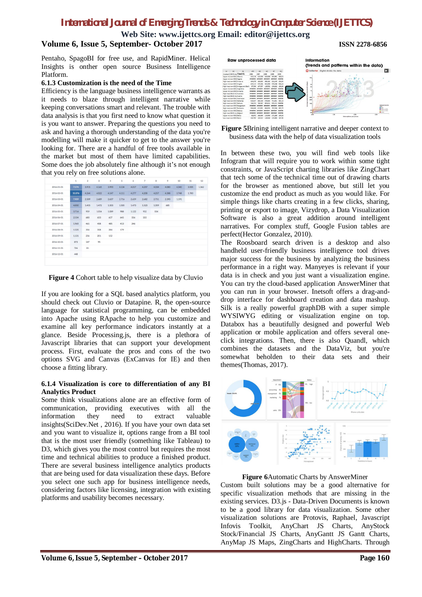**Web Site: www.ijettcs.org Email: editor@ijettcs.org**

# **Volume 6, Issue 5, September- October 2017 ISSN 2278-6856**

Pentaho, SpagoBI for free use, and RapidMiner. Helical Insights is onther open source Business Intelligence Platform.

#### **6.1.3 Customization is the need of the Time**

Efficiency is the language business intelligence warrants as it needs to blaze through intelligent narrative while keeping conversations smart and relevant. The trouble with data analysis is that you first need to know what question it is you want to answer. Preparing the questions you need to ask and having a thorough understanding of the data you're modelling will make it quicker to get to the answer you're looking for. There are a handful of free tools available in the market but most of them have limited capabilities. Some does the job absolutely fine although it's not enough that you rely on free solutions alone.

|            | $\mathbf{1}$ | $\bar{2}$ | $_{3}$ | 4     | 5     | 6     | $\tau$ | 8     | 9     | 10    | 11    | 12    |
|------------|--------------|-----------|--------|-------|-------|-------|--------|-------|-------|-------|-------|-------|
| 2016-01-01 | 7.574        | 3.915     | 4.165  | 3,993 | 4.134 | 4.017 | 4.257  | 4,334 | 4,080 | 4,340 | 3.505 | 1.362 |
| 2016-02-01 | 10.376       | 4.264     | 4.022  | 4.147 | 4.111 | 4.277 | 4.208  | 4.257 | 4.388 | 3.748 | 1.783 |       |
| 2016-03-01 | 7.909        | 2.509     | 2.689  | 2.637 | 2.716 | 2.659 | 2.682  | 2.751 | 2.390 | 1.191 |       |       |
| 2016-04-01 | 4.850        | 1.455     | 1.472  | 1.503 | 1.505 | 1.473 | 1.523  | 1.359 | 685   |       |       |       |
| 2016-05-01 | 3.714        | 959       | 1.054  | 1.089 | 988   | 1.122 | 932    | 504   |       |       |       |       |
| 2016-06-01 | 2.534        | 683       | 653    | 637   | 645   | 556   | 333    |       |       |       |       |       |
| 2016-07-01 | 1.965        | 461       | 458    | 485   | 413   | 246   |        |       |       |       |       |       |
| 2016-08-01 | 1.525        | 354       | 358    | 284   | 179   |       |        |       |       |       |       |       |
| 2016-09-01 | 1.131        | 256       | 201    | 152   |       |       |        |       |       |       |       |       |
| 2016-10-01 | 873          | 147       | 95     |       |       |       |        |       |       |       |       |       |
| 2016-11-01 | 726          | 81        |        |       |       |       |        |       |       |       |       |       |
| 2016-12-01 | 448          |           |        |       |       |       |        |       |       |       |       |       |
|            |              |           |        |       |       |       |        |       |       |       |       |       |

**Figure 4** Cohort table to help visualize data by Cluvio

If you are looking for a SQL based analytics platform, you should check out Cluvio or Datapine. R, the open-source language for statistical programming, can be embedded into Apache using RApache to help you customize and examine all key performance indicators instantly at a glance. Beside Processing.js, there is a plethora of Javascript libraries that can support your development process. First, evaluate the pros and cons of the two options SVG and Canvas (ExCanvas for IE) and then choose a fitting library.

#### **6.1.4 Visualization is core to differentiation of any BI Analytics Product**

Some think visualizations alone are an effective form of communication, providing executives with all the information they need to extract valuable insights(SciDev.Net , 2016). If you have your own data set and you want to visualize it, options range from a BI tool that is the most user friendly (something like Tableau) to D3, which gives you the most control but requires the most time and technical abilities to produce a finished product. There are several business intelligence analytics products that are being used for data visualization these days. Before you select one such app for business intelligence needs, considering factors like licensing, integration with existing platforms and usability becomes necessary.

| <b>Raw unprocessed data</b>           |                             |         |          |                |                            | Information                           | (trends and patterns within the data) |  |  |  |  |
|---------------------------------------|-----------------------------|---------|----------|----------------|----------------------------|---------------------------------------|---------------------------------------|--|--|--|--|
| A1<br>AL<br>AK                        | <b>AM</b>                   | AN      | $40^{1}$ | $\overline{M}$ | AO.                        | SciDevNet<br>Digital divide: the data |                                       |  |  |  |  |
| Income G OECD me Fixed UL             | 1985                        | 1987    | 1988     | 1989           | 1990                       |                                       |                                       |  |  |  |  |
| Usper mi-non-OFCC Albania             | 310 126                     | 320     | 330,669  | 3.45.001       | 360.53                     |                                       |                                       |  |  |  |  |
| Upper milinon-OECCAlgeria             | 1220333                     |         |          |                | <b>FORES</b>               | 16                                    |                                       |  |  |  |  |
| High incornon-OECCAndorra             | 164,270                     |         | 200 131  | 223, 242       | 253.91                     |                                       |                                       |  |  |  |  |
| Upper minnon OECCAngola               | 415.113                     | 535.18  | 561 080  | 528.844        | 604.24                     | <b>Yie</b>                            |                                       |  |  |  |  |
| i High incornon-OECC Antigua and Barb | 87,356                      | 107     | 128,502  | 156.822        | 198.86                     | $\mathbf{r}$                          |                                       |  |  |  |  |
| Usper milingn-OECCArgentina           | <b><i><u>PECASS</u></i></b> |         |          |                | <b>FERRIS</b>              |                                       |                                       |  |  |  |  |
| Lower micron-OECCAnmenia              | 8000888                     |         |          | <b>ABREES</b>  | <b>HORAGE</b>              |                                       |                                       |  |  |  |  |
| High incor OECD me Australia          | EXCESSE                     |         |          |                | PERSON                     |                                       |                                       |  |  |  |  |
| High incor OECD me: Austria           | <b>ECONOMIC</b>             |         |          |                | <b>HORAGE</b>              |                                       |                                       |  |  |  |  |
| Usper mirnan-OFCC Azerbaian           | <b>EUGRESS</b>              |         |          |                | <b>FFERES</b>              | 360<br>200                            |                                       |  |  |  |  |
| High incornon-OECCBahamas             | 526.647                     | 60      | 678,654  | 741, 901       | \$64.15                    |                                       |                                       |  |  |  |  |
| High incornen OECC Bahrain            | 746,074                     | 788.84  | 893.615  |                | 978.111 mmmmm              | 160                                   |                                       |  |  |  |  |
| Low inconnon-OECC Bangladesh          | 0220323                     |         | ------   |                | <b>NONESS</b>              |                                       | wattenal income<br><b>Girl</b>        |  |  |  |  |
| High incornery OFCC Rarbados          | 564,449                     |         | 664 974  | $\infty$       | \$97.75                    |                                       | <b>B</b> Mich<br><b>Divor niddle</b>  |  |  |  |  |
| Usper mi non-OECC Belarus             | <b>EXCESSE</b>              |         |          |                | 222324                     | $\overline{2}$                        | <b>B</b> Lower middle                 |  |  |  |  |
| High incor OECD me Belgium            | *******                     |         |          |                | <b><i><u>FORES</u></i></b> | 2h0<br>1.00<br>3.00<br>n int          | <b>E</b> Lowing                       |  |  |  |  |
| Usper milingen OFCC Relize            | \$2,872                     |         | 133,950  | 171.189        | 109.36                     | Subscriptions per person              |                                       |  |  |  |  |
| Low incor non-OECC Benin              | 116 784                     | 120,216 | 136,818  | 145 805        | 154.00                     |                                       |                                       |  |  |  |  |

**Figure 5**Brining intelligent narrative and deeper context to business data with the help of data visualization tools

In between these two, you will find web tools like Infogram that will require you to work within some tight constraints, or JavaScript charting libraries like ZingChart that tech some of the technical time out of drawing charts for the browser as mentioned above, but still let you customize the end product as much as you would like. For simple things like charts creating in a few clicks, sharing, printing or export to image, Vizydrop, a Data Visualization Software is also a great addition around intelligent narratives. For complex stuff, Google Fusion tables are perfect(Hector Gonzalez, 2010).

The Roosboard search driven is a desktop and also handheld user-friendly business intelligence tool drives major success for the business by analyzing the business performance in a right way. Manyeyes is relevant if your data is in check and you just want a visualization engine. You can try the cloud-based application AnswerMiner that you can run in your browser. Inetsoft offers a drag-anddrop interface for dashboard creation and data mashup. Silk is a really powerful graphDB with a super simple WYSIWYG editing or visualization engine on top. Databox has a beautifully designed and powerful Web application or mobile application and offers several oneclick integrations. Then, there is also Quandl, which combines the datasets and the DataViz, but you're somewhat beholden to their data sets and their themes(Thomas, 2017).



**Figure 6**Automatic Charts by AnswerMiner

Custom built solutions may be a good alternative for specific visualization methods that are missing in the existing services. D3.js - Data-Driven Documents is known to be a good library for data visualization. Some other visualization solutions are Protovis, Raphael, Javascript Infovis Toolkit, AnyChart JS Charts, AnyStock Stock/Financial JS Charts, AnyGantt JS Gantt Charts, AnyMap JS Maps, ZingCharts and HighCharts. Through